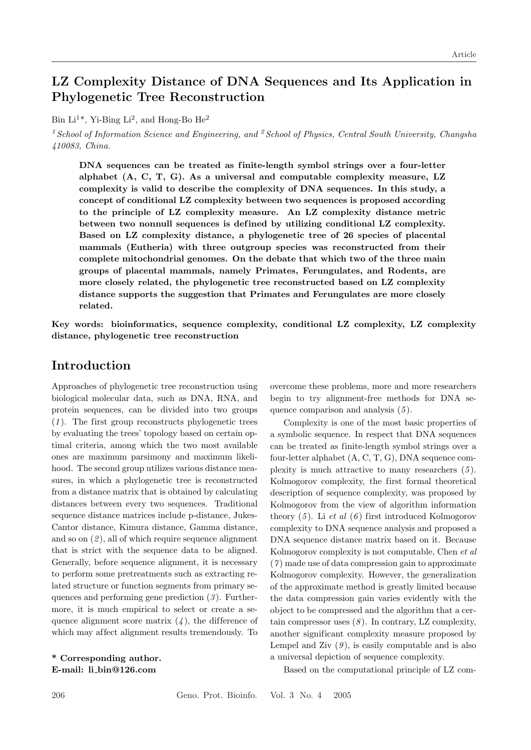# LZ Complexity Distance of DNA Sequences and Its Application in Phylogenetic Tree Reconstruction

Bin Li<sup>1\*</sup>, Yi-Bing Li<sup>2</sup>, and Hong-Bo He<sup>2</sup>

<sup>1</sup> School of Information Science and Engineering, and <sup>2</sup> School of Physics, Central South University, Changsha 410083, China.

DNA sequences can be treated as finite-length symbol strings over a four-letter alphabet (A, C, T, G). As a universal and computable complexity measure, LZ complexity is valid to describe the complexity of DNA sequences. In this study, a concept of conditional LZ complexity between two sequences is proposed according to the principle of LZ complexity measure. An LZ complexity distance metric between two nonnull sequences is def ined by utilizing conditional LZ complexity. Based on LZ complexity distance, a phylogenetic tree of 26 species of placental mammals (Eutheria) with three outgroup species was reconstructed from their complete mitochondrial genomes. On the debate that which two of the three main groups of placental mammals, namely Primates, Ferungulates, and Rodents, are more closely related, the phylogenetic tree reconstructed based on LZ complexity distance supports the suggestion that Primates and Ferungulates are more closely related.

Key words: bioinformatics, sequence complexity, conditional LZ complexity, LZ complexity distance, phylogenetic tree reconstruction

## Introduction

Approaches of phylogenetic tree reconstruction using biological molecular data, such as DNA, RNA, and protein sequences, can be divided into two groups  $(1)$ . The first group reconstructs phylogenetic trees by evaluating the trees' topology based on certain optimal criteria, among which the two most available ones are maximum parsimony and maximum likelihood. The second group utilizes various distance measures, in which a phylogenetic tree is reconstructed from a distance matrix that is obtained by calculating distances between every two sequences. Traditional sequence distance matrices include p-distance, Jukes-Cantor distance, Kimura distance, Gamma distance, and so on  $(2)$ , all of which require sequence alignment that is strict with the sequence data to be aligned. Generally, before sequence alignment, it is necessary to perform some pretreatments such as extracting related structure or function segments from primary sequences and performing gene prediction  $(3)$ . Furthermore, it is much empirical to select or create a sequence alignment score matrix  $(4)$ , the difference of which may affect alignment results tremendously. To

\* Corresponding author. E-mail: li bin@126.com

overcome these problems, more and more researchers begin to try alignment-free methods for DNA sequence comparison and analysis  $(5)$ .

Complexity is one of the most basic properties of a symbolic sequence. In respect that DNA sequences can be treated as finite-length symbol strings over a four-letter alphabet (A, C, T, G), DNA sequence complexity is much attractive to many researchers  $(5)$ . Kolmogorov complexity, the first formal theoretical description of sequence complexity, was proposed by Kolmogorov from the view of algorithm information theory  $(5)$ . Li et al  $(6)$  first introduced Kolmogorov complexity to DNA sequence analysis and proposed a DNA sequence distance matrix based on it. Because Kolmogorov complexity is not computable, Chen et al  $(7)$  made use of data compression gain to approximate Kolmogorov complexity. However, the generalization of the approximate method is greatly limited because the data compression gain varies evidently with the object to be compressed and the algorithm that a certain compressor uses  $(8)$ . In contrary, LZ complexity, another significant complexity measure proposed by Lempel and Ziv  $(9)$ , is easily computable and is also a universal depiction of sequence complexity.

Based on the computational principle of LZ com-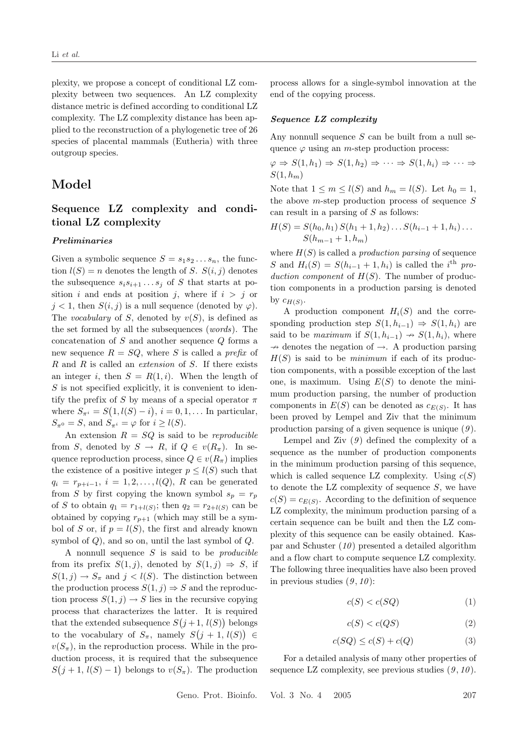plexity, we propose a concept of conditional LZ complexity between two sequences. An LZ complexity distance metric is defined according to conditional LZ complexity. The LZ complexity distance has been applied to the reconstruction of a phylogenetic tree of 26 species of placental mammals (Eutheria) with three outgroup species.

### Model

### Sequence LZ complexity and conditional LZ complexity

#### Preliminaries

Given a symbolic sequence  $S = s_1 s_2 \dots s_n$ , the function  $l(S) = n$  denotes the length of S.  $S(i, j)$  denotes the subsequence  $s_i s_{i+1} \ldots s_j$  of S that starts at position i and ends at position j, where if  $i > j$  or  $j < 1$ , then  $S(i, j)$  is a null sequence (denoted by  $\varphi$ ). The vocabulary of S, denoted by  $v(S)$ , is defined as the set formed by all the subsequences (words). The concatenation of  $S$  and another sequence  $Q$  forms a new sequence  $R = SQ$ , where S is called a prefix of R and R is called an extension of S. If there exists an integer i, then  $S = R(1, i)$ . When the length of  $S$  is not specified explicitly, it is convenient to identify the prefix of S by means of a special operator  $\pi$ where  $S_{\pi^i} = S(1, l(S) - i), i = 0, 1, \dots$  In particular,  $S_{\pi^0} = S$ , and  $S_{\pi^i} = \varphi$  for  $i \geq l(S)$ .

An extension  $R = SQ$  is said to be reproducible from S, denoted by  $S \to R$ , if  $Q \in v(R_\pi)$ . In sequence reproduction process, since  $Q \in v(R_{\pi})$  implies the existence of a positive integer  $p \leq l(S)$  such that  $q_i = r_{p+i-1}, i = 1, 2, ..., l(Q), R$  can be generated from S by first copying the known symbol  $s_p = r_p$ of S to obtain  $q_1 = r_{1+l(S)}$ ; then  $q_2 = r_{2+l(S)}$  can be obtained by copying  $r_{p+1}$  (which may still be a symbol of S or, if  $p = l(S)$ , the first and already known symbol of  $Q$ ), and so on, until the last symbol of  $Q$ .

A nonnull sequence  $S$  is said to be *producible* from its prefix  $S(1, j)$ , denoted by  $S(1, j) \Rightarrow S$ , if  $S(1, j) \to S_{\pi}$  and  $j < l(S)$ . The distinction between the production process  $S(1, j) \Rightarrow S$  and the reproduction process  $S(1, j) \rightarrow S$  lies in the recursive copying process that characterizes the latter. It is required that the extended subsequence  $S(j+1, l(S))$  belongs to the vocabulary of  $S_{\pi}$ , namely  $S(j + 1, l(S)) \in$  $v(S_{\pi})$ , in the reproduction process. While in the production process, it is required that the subsequence  $S(j+1, l(S)-1)$  belongs to  $v(S_{\pi})$ . The production

process allows for a single-symbol innovation at the end of the copying process.

#### Sequence LZ complexity

Any nonnull sequence  $S$  can be built from a null sequence  $\varphi$  using an *m*-step production process:

$$
\varphi \Rightarrow S(1, h_1) \Rightarrow S(1, h_2) \Rightarrow \dots \Rightarrow S(1, h_i) \Rightarrow \dots \Rightarrow S(1, h_m)
$$

Note that  $1 \leq m \leq l(S)$  and  $h_m = l(S)$ . Let  $h_0 = 1$ , the above  $m$ -step production process of sequence  $S$ can result in a parsing of S as follows:

$$
H(S) = S(h_0, h_1) S(h_1 + 1, h_2) \dots S(h_{i-1} + 1, h_i) \dots S(h_{m-1} + 1, h_m)
$$

where  $H(S)$  is called a *production parsing* of sequence S and  $H_i(S) = S(h_{i-1} + 1, h_i)$  is called the i<sup>th</sup> production component of  $H(S)$ . The number of production components in a production parsing is denoted by  $c_{H(S)}$ .

A production component  $H_i(S)$  and the corresponding production step  $S(1, h_{i-1}) \Rightarrow S(1, h_i)$  are said to be maximum if  $S(1, h_{i-1}) \rightarrow S(1, h_i)$ , where  $\rightarrow$  denotes the negation of  $\rightarrow$ . A production parsing  $H(S)$  is said to be *minimum* if each of its production components, with a possible exception of the last one, is maximum. Using  $E(S)$  to denote the minimum production parsing, the number of production components in  $E(S)$  can be denoted as  $c_{E(S)}$ . It has been proved by Lempel and Ziv that the minimum production parsing of a given sequence is unique  $(9)$ .

Lempel and Ziv  $(9)$  defined the complexity of a sequence as the number of production components in the minimum production parsing of this sequence, which is called sequence LZ complexity. Using  $c(S)$ to denote the LZ complexity of sequence  $S$ , we have  $c(S) = c_{E(S)}$ . According to the definition of sequence LZ complexity, the minimum production parsing of a certain sequence can be built and then the LZ complexity of this sequence can be easily obtained. Kaspar and Schuster  $(10)$  presented a detailed algorithm and a flow chart to compute sequence LZ complexity. The following three inequalities have also been proved in previous studies  $(9, 10)$ :

$$
c(S) < c(SQ) \tag{1}
$$

$$
c(S) < c(QS) \tag{2}
$$

$$
c(SQ) \le c(S) + c(Q) \tag{3}
$$

For a detailed analysis of many other properties of sequence LZ complexity, see previous studies  $(9, 10)$ .

Geno. Prot. Bioinfo. Vol. 3 No. 4 2005 207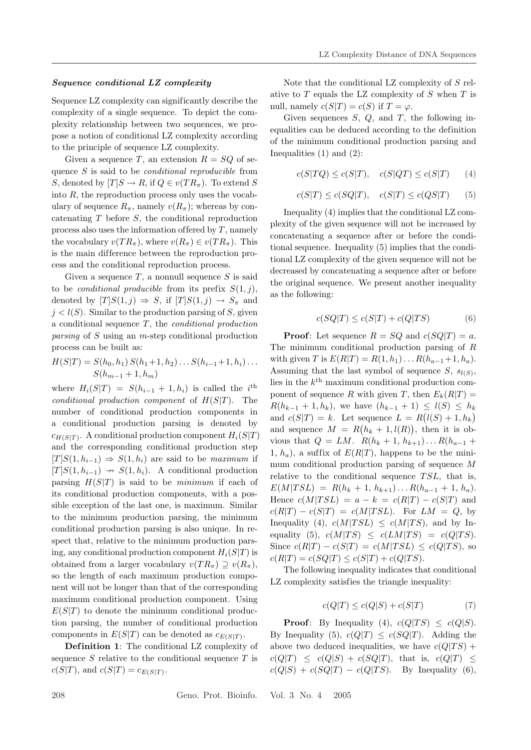#### Sequence conditional LZ complexity

Sequence LZ complexity can significantly describe the complexity of a single sequence. To depict the complexity relationship between two sequences, we propose a notion of conditional LZ complexity according to the principle of sequence LZ complexity.

Given a sequence T, an extension  $R = SQ$  of sequence S is said to be conditional reproducible from S, denoted by  $[T]S \to R$ , if  $Q \in v(TR_{\pi})$ . To extend S into  $R$ , the reproduction process only uses the vocabulary of sequence  $R_{\pi}$ , namely  $v(R_{\pi})$ ; whereas by concatenating  $T$  before  $S$ , the conditional reproduction process also uses the information of fered by  $T$ , namely the vocabulary  $v(T R_\pi)$ , where  $v(R_\pi) \in v(T R_\pi)$ . This is the main difference between the reproduction process and the conditional reproduction process.

Given a sequence  $T$ , a nonnull sequence  $S$  is said to be *conditional producible* from its prefix  $S(1, i)$ , denoted by  $[T]S(1, j) \Rightarrow S$ , if  $[T]S(1, j) \rightarrow S_{\pi}$  and  $j < l(S)$ . Similar to the production parsing of S, given a conditional sequence  $T$ , the *conditional production* parsing of S using an m-step conditional production process can be built as:

$$
H(S|T) = S(h_0, h_1) S(h_1 + 1, h_2) \dots S(h_{i-1} + 1, h_i) \dots S(h_{m-1} + 1, h_m)
$$

where  $H_i(S|T) = S(h_{i-1} + 1, h_i)$  is called the *i*<sup>th</sup> conditional production component of  $H(S|T)$ . The number of conditional production components in a conditional production parsing is denoted by  $c_{H(S|T)}$ . A conditional production component  $H_i(S|T)$ and the corresponding conditional production step  $[T]S(1, h_{i-1}) \Rightarrow S(1, h_i)$  are said to be maximum if  $[T]S(1, h_{i-1}) \rightarrow S(1, h_i)$ . A conditional production parsing  $H(S|T)$  is said to be *minimum* if each of its conditional production components, with a possible exception of the last one, is maximum. Similar to the minimum production parsing, the minimum conditional production parsing is also unique. In respect that, relative to the minimum production parsing, any conditional production component  $H_i(S|T)$  is obtained from a larger vocabulary  $v(T R_\pi) \supseteq v(R_\pi)$ , so the length of each maximum production component will not be longer than that of the corresponding maximum conditional production component. Using  $E(S|T)$  to denote the minimum conditional production parsing, the number of conditional production components in  $E(S|T)$  can be denoted as  $c_{E(S|T)}$ .

Definition 1: The conditional LZ complexity of sequence  $S$  relative to the conditional sequence  $T$  is  $c(S|T)$ , and  $c(S|T) = c_{E(S|T)}$ .

Note that the conditional LZ complexity of S relative to  $T$  equals the LZ complexity of  $S$  when  $T$  is null, namely  $c(S|T) = c(S)$  if  $T = \varphi$ .

Given sequences  $S, Q$ , and  $T$ , the following inequalities can be deduced according to the definition of the minimum conditional production parsing and Inequalities  $(1)$  and  $(2)$ :

$$
c(S|TQ) \le c(S|T), \quad c(S|QT) \le c(S|T) \tag{4}
$$

$$
c(S|T) \le c(SQ|T), \quad c(S|T) \le c(QS|T) \tag{5}
$$

Inequality (4) implies that the conditional LZ complexity of the given sequence will not be increased by concatenating a sequence after or before the conditional sequence. Inequality (5) implies that the conditional LZ complexity of the given sequence will not be decreased by concatenating a sequence after or before the original sequence. We present another inequality as the following:

$$
c(SQ|T) \le c(S|T) + c(Q|TS)
$$
\n<sup>(6)</sup>

**Proof:** Let sequence  $R = SQ$  and  $c(SQ|T) = a$ . The minimum conditional production parsing of R with given T is  $E(R|T) = R(1, h_1) \dots R(h_{a-1} + 1, h_a)$ . Assuming that the last symbol of sequence  $S, s_{l(S)}$ , lies in the  $k^{\text{th}}$  maximum conditional production component of sequence R with given T, then  $E_k(R|T) =$  $R(h_{k-1} + 1, h_k)$ , we have  $(h_{k-1} + 1) \leq l(S) \leq h_k$ and  $c(S|T) = k$ . Let sequence  $L = R(l(S) + 1, h_k)$ and sequence  $M = R(h_k + 1, l(R))$ , then it is obvious that  $Q = LM$ .  $R(h_k + 1, h_{k+1}) \dots R(h_{a-1} +$ 1,  $h_a$ ), a suffix of  $E(R|T)$ , happens to be the minimum conditional production parsing of sequence M relative to the conditional sequence  $TSL$ , that is,  $E(M|TSL) = R(h_k + 1, h_{k+1}) \dots R(h_{a-1} + 1, h_a).$ Hence  $c(M|TSL) = a - k = c(R|T) - c(S|T)$  and  $c(R|T) - c(S|T) = c(M|TSL)$ . For  $LM = Q$ , by Inequality (4),  $c(M|TSL) \leq c(M|TS)$ , and by Inequality (5),  $c(M|TS) \leq c(LM|TS) = c(Q|TS)$ . Since  $c(R|T) - c(S|T) = c(M|TSL) \leq c(Q|TS)$ , so  $c(R|T) = c(SQ|T) \leq c(S|T) + c(Q|TS).$ 

The following inequality indicates that conditional LZ complexity satisfies the triangle inequality:

$$
c(Q|T) \le c(Q|S) + c(S|T)
$$
\n<sup>(7)</sup>

**Proof:** By Inequality (4),  $c(Q|TS) \leq c(Q|S)$ . By Inequality (5),  $c(Q|T) \leq c(SQ|T)$ . Adding the above two deduced inequalities, we have  $c(Q|TS)$  +  $c(Q|T) \leq c(Q|S) + c(SQ|T)$ , that is,  $c(Q|T) \leq$  $c(Q|S) + c(SQ|T) - c(Q|TS)$ . By Inequality (6),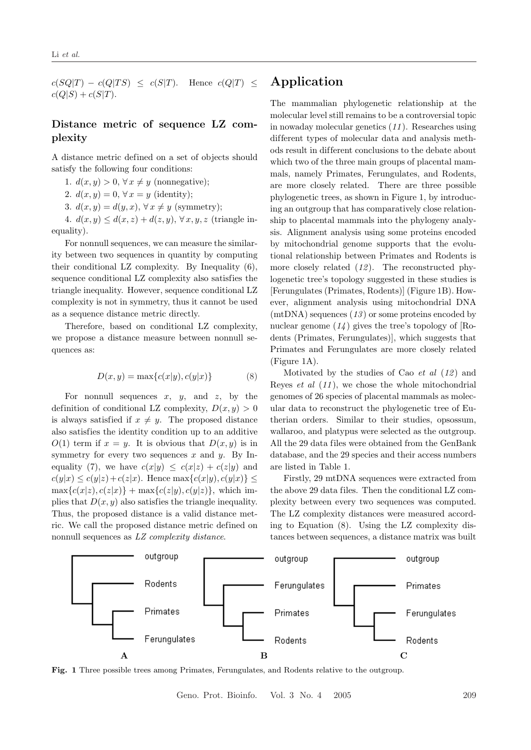$c(SQ|T) - c(Q|TS) \leq c(S|T)$ . Hence  $c(Q|T) \leq$  $c(Q|S) + c(S|T)$ .

### Distance metric of sequence LZ complexity

A distance metric defined on a set of objects should satisfy the following four conditions:

1.  $d(x, y) > 0, \forall x \neq y$  (nonnegative);

2.  $d(x, y) = 0, \forall x = y$  (identity);

3.  $d(x, y) = d(y, x), \forall x \neq y$  (symmetry);

4.  $d(x, y) \leq d(x, z) + d(z, y), \forall x, y, z$  (triangle inequality).

For nonnull sequences, we can measure the similarity between two sequences in quantity by computing their conditional LZ complexity. By Inequality (6), sequence conditional LZ complexity also satisfies the triangle inequality. However, sequence conditional LZ complexity is not in symmetry, thus it cannot be used as a sequence distance metric directly.

Therefore, based on conditional LZ complexity, we propose a distance measure between nonnull sequences as:

$$
D(x, y) = \max\{c(x|y), c(y|x)\}\tag{8}
$$

For nonnull sequences  $x$ ,  $y$ , and  $z$ , by the definition of conditional LZ complexity,  $D(x, y) > 0$ is always satisfied if  $x \neq y$ . The proposed distance also satisfies the identity condition up to an additive  $O(1)$  term if  $x = y$ . It is obvious that  $D(x, y)$  is in symmetry for every two sequences x and y. By Inequality (7), we have  $c(x|y) \leq c(x|z) + c(z|y)$  and  $c(y|x) \leq c(y|z) + c(z|x)$ . Hence max $\{c(x|y), c(y|x)\} \leq$  $\max\{c(x|z), c(z|x)\}\ + \max\{c(z|y), c(y|z)\}\$ , which implies that  $D(x, y)$  also satisfies the triangle inequality. Thus, the proposed distance is a valid distance metric. We call the proposed distance metric defined on nonnull sequences as LZ complexity distance.

## Application

The mammalian phylogenetic relationship at the molecular level still remains to be a controversial topic in nowaday molecular genetics (11 ). Researches using different types of molecular data and analysis methods result in dif ferent conclusions to the debate about which two of the three main groups of placental mammals, namely Primates, Ferungulates, and Rodents, are more closely related. There are three possible phylogenetic trees, as shown in Figure 1, by introducing an outgroup that has comparatively close relationship to placental mammals into the phylogeny analysis. Alignment analysis using some proteins encoded by mitochondrial genome supports that the evolutional relationship between Primates and Rodents is more closely related  $(12)$ . The reconstructed phylogenetic tree's topology suggested in these studies is [Ferungulates (Primates, Rodents)] (Figure 1B). However, alignment analysis using mitochondrial DNA  $(\text{mtDNA})$  sequences  $(13)$  or some proteins encoded by nuclear genome  $(14)$  gives the tree's topology of [Rodents (Primates, Ferungulates)], which suggests that Primates and Ferungulates are more closely related (Figure 1A).

Motivated by the studies of Cao  $et \ al \ (12)$  and Reyes *et al*  $(11)$ , we chose the whole mitochondrial genomes of 26 species of placental mammals as molecular data to reconstruct the phylogenetic tree of Eutherian orders. Similar to their studies, opsossum, wallaroo, and platypus were selected as the outgroup. All the 29 data files were obtained from the GenBank database, and the 29 species and their access numbers are listed in Table 1.

Firstly, 29 mtDNA sequences were extracted from the above 29 data files. Then the conditional LZ complexity between every two sequences was computed. The LZ complexity distances were measured according to Equation (8). Using the LZ complexity distances between sequences, a distance matrix was built



Fig. 1 Three possible trees among Primates, Ferungulates, and Rodents relative to the outgroup.

Geno. Prot. Bioinfo. Vol. 3 No. 4 2005 209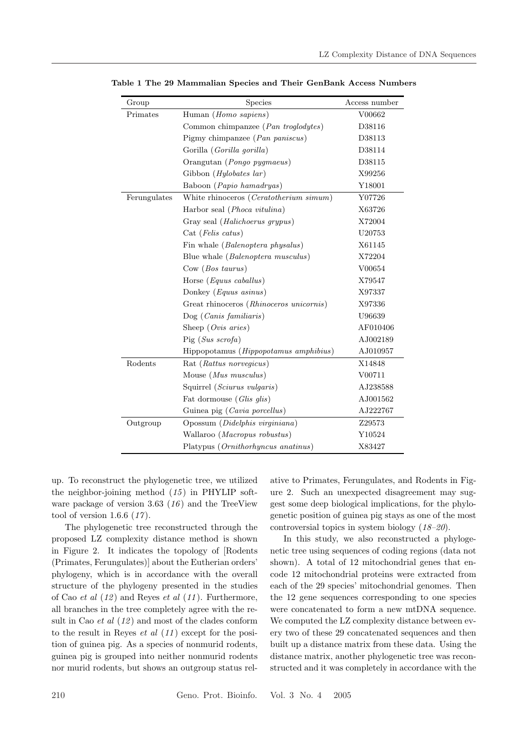| Group        | Species                                         | Access number |
|--------------|-------------------------------------------------|---------------|
| Primates     | Human (Homo sapiens)                            | V00662        |
|              | Common chimpanzee (Pan troglodytes)             | D38116        |
|              | Pigmy chimpanzee ( $Pan~paniscus$ )             | D38113        |
|              | Gorilla (Gorilla gorilla)                       | D38114        |
|              | Orangutan (Pongo pygmaeus)                      | D38115        |
|              | Gibbon (Hylobates lar)                          | X99256        |
|              | Baboon ( <i>Papio hamadryas</i> )               | Y18001        |
| Ferungulates | White rhinoceros ( <i>Ceratotherium simum</i> ) | Y07726        |
|              | Harbor seal (Phoca vitulina)                    | X63726        |
|              | Gray seal (Halichoerus grypus)                  | X72004        |
|              | Cat (Felis catus)                               | U20753        |
|              | Fin whale (Balenoptera physalus)                | X61145        |
|              | Blue whale <i>(Balenoptera musculus)</i>        | X72204        |
|              | Cow(Bos taurus)                                 | V00654        |
|              | Horse $(Equus \ caballus)$                      | X79547        |
|              | Donkey (Equus asinus)                           | X97337        |
|              | Great rhinoceros (Rhinoceros unicornis)         | X97336        |
|              | $\text{Dog } (Canis familiaris)$                | U96639        |
|              | Sheep (Ovis aries)                              | AF010406      |
|              | $\text{Pig}(Sus\; scorefa)$                     | AJ002189      |
|              | Hippopotamus (Hippopotamus amphibius)           | AJ010957      |
| Rodents      | Rat (Rattus norvegicus)                         | X14848        |
|              | Mouse $(Mus \; musculus)$                       | V00711        |
|              | Squirrel (Sciurus vulgaris)                     | AJ238588      |
|              | Fat dormouse (Glis glis)                        | AJ001562      |
|              | Guinea pig (Cavia porcellus)                    | AJ222767      |
| Outgroup     | Opossum (Didelphis virginiana)                  | Z29573        |
|              | Wallaroo (Macropus robustus)                    | Y10524        |
|              | Platypus (Ornithorhyncus anatinus)              | X83427        |

Table 1 The 29 Mammalian Species and Their GenBank Access Numbers

up. To reconstruct the phylogenetic tree, we utilized the neighbor-joining method  $(15)$  in PHYLIP software package of version 3.63 (16) and the TreeView tool of version 1.6.6  $(17)$ .

The phylogenetic tree reconstructed through the proposed LZ complexity distance method is shown in Figure 2. It indicates the topology of [Rodents (Primates, Ferungulates)] about the Eutherian orders' phylogeny, which is in accordance with the overall structure of the phylogeny presented in the studies of Cao et al  $(12)$  and Reyes et al  $(11)$ . Furthermore, all branches in the tree completely agree with the result in Cao  $et$  al  $(12)$  and most of the clades conform to the result in Reyes *et al*  $(11)$  except for the position of guinea pig. As a species of nonmurid rodents, guinea pig is grouped into neither nonmurid rodents nor murid rodents, but shows an outgroup status relative to Primates, Ferungulates, and Rodents in Figure 2. Such an unexpected disagreement may suggest some deep biological implications, for the phylogenetic position of guinea pig stays as one of the most controversial topics in system biology (18–20).

In this study, we also reconstructed a phylogenetic tree using sequences of coding regions (data not shown). A total of 12 mitochondrial genes that encode 12 mitochondrial proteins were extracted from each of the 29 species' mitochondrial genomes. Then the 12 gene sequences corresponding to one species were concatenated to form a new mtDNA sequence. We computed the LZ complexity distance between every two of these 29 concatenated sequences and then built up a distance matrix from these data. Using the distance matrix, another phylogenetic tree was reconstructed and it was completely in accordance with the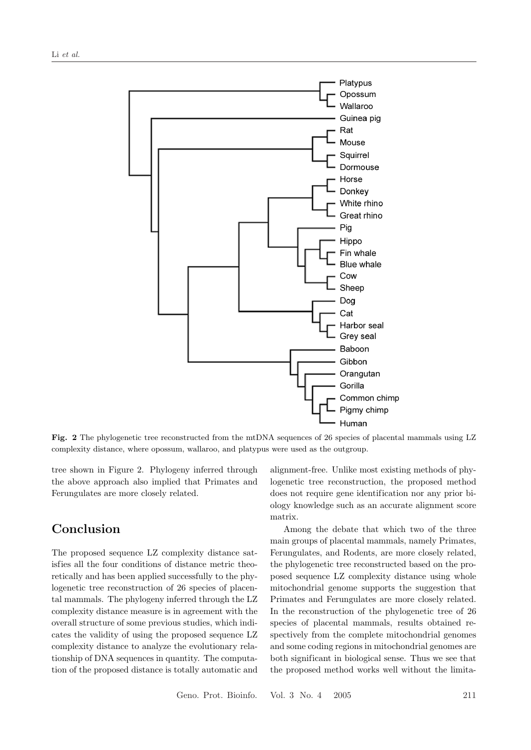

Fig. 2 The phylogenetic tree reconstructed from the mtDNA sequences of 26 species of placental mammals using LZ complexity distance, where opossum, wallaroo, and platypus were used as the outgroup.

tree shown in Figure 2. Phylogeny inferred through the above approach also implied that Primates and Ferungulates are more closely related.

## Conclusion

The proposed sequence LZ complexity distance satisfies all the four conditions of distance metric theoretically and has been applied successfully to the phylogenetic tree reconstruction of 26 species of placental mammals. The phylogeny inferred through the LZ complexity distance measure is in agreement with the overall structure of some previous studies, which indicates the validity of using the proposed sequence LZ complexity distance to analyze the evolutionary relationship of DNA sequences in quantity. The computation of the proposed distance is totally automatic and

alignment-free. Unlike most existing methods of phylogenetic tree reconstruction, the proposed method does not require gene identification nor any prior biology knowledge such as an accurate alignment score matrix.

Among the debate that which two of the three main groups of placental mammals, namely Primates, Ferungulates, and Rodents, are more closely related, the phylogenetic tree reconstructed based on the proposed sequence LZ complexity distance using whole mitochondrial genome supports the suggestion that Primates and Ferungulates are more closely related. In the reconstruction of the phylogenetic tree of 26 species of placental mammals, results obtained respectively from the complete mitochondrial genomes and some coding regions in mitochondrial genomes are both significant in biological sense. Thus we see that the proposed method works well without the limita-

Geno. Prot. Bioinfo. Vol. 3 No. 4 2005 211